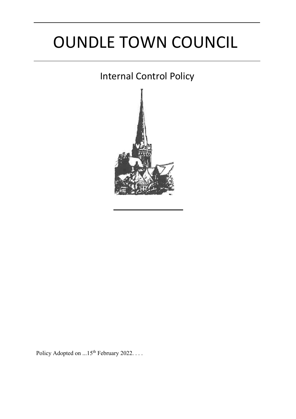# OUNDLE TOWN COUNCIL

# Internal Control Policy



Policy Adopted on  $...15^{\text{th}}$  February 2022. . . .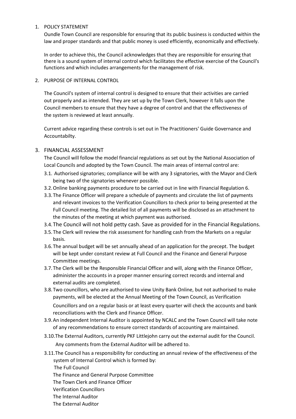#### 1. POLICY STATEMENT

Oundle Town Council are responsible for ensuring that its public business is conducted within the law and proper standards and that public money is used efficiently, economically and effectively.

In order to achieve this, the Council acknowledges that they are responsible for ensuring that there is a sound system of internal control which facilitates the effective exercise of the Council's functions and which includes arrangements for the management of risk.

#### 2. PURPOSE OF INTERNAL CONTROL

The Council's system of internal control is designed to ensure that their activities are carried out properly and as intended. They are set up by the Town Clerk, however it falls upon the Council members to ensure that they have a degree of control and that the effectiveness of the system is reviewed at least annually.

Current advice regarding these controls is set out in The Practitioners' Guide Governance and Accountabilty.

#### 3. FINANCIAL ASSESSMENT

The Council will follow the model financial regulations as set out by the National Association of Local Councils and adopted by the Town Council. The main areas of internal control are:

- 3.1. Authorised signatories; compliance will be with any 3 signatories, with the Mayor and Clerk being two of the signatories whenever possible.
- 3.2.Online banking payments procedure to be carried out in line with Financial Regulation 6.
- 3.3.The Finance Officer will prepare a schedule of payments and circulate the list of payments and relevant invoices to the Verification Councillors to check prior to being presented at the Full Council meeting. The detailed list of all payments will be disclosed as an attachment to the minutes of the meeting at which payment was authorised.
- 3.4.The Council will not hold petty cash. Save as provided for in the Financial Regulations.
- 3.5.The Clerk will review the risk assessment for handling cash from the Markets on a regular basis.
- 3.6.The annual budget will be set annually ahead of an application for the precept. The budget will be kept under constant review at Full Council and the Finance and General Purpose Committee meetings.
- 3.7.The Clerk will be the Responsible Financial Officer and will, along with the Finance Officer, administer the accounts in a proper manner ensuring correct records and internal and external audits are completed.
- 3.8.Two councillors, who are authorised to view Unity Bank Online, but not authorised to make payments, will be elected at the Annual Meeting of the Town Council, as Verification Councillors and on a regular basis or at least every quarter will check the accounts and bank reconciliations with the Clerk and Finance Officer.
- 3.9.An independent Internal Auditor is appointed by NCALC and the Town Council will take note of any recommendations to ensure correct standards of accounting are maintained.
- 3.10.The External Auditors, currently PKF Littlejohn carry out the external audit for the Council. Any comments from the External Auditor will be adhered to.
- 3.11.The Council has a responsibility for conducting an annual review of the effectiveness of the system of Internal Control which is formed by: The Full Council
	- The Finance and General Purpose Committee
	- The Town Clerk and Finance Officer
	- Verification Councillors
	- The Internal Auditor
	- The External Auditor